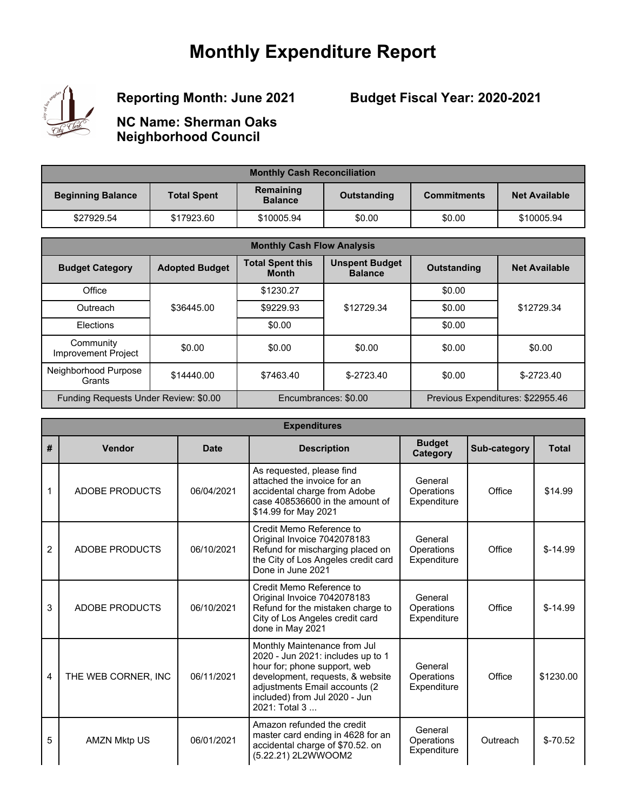## **Monthly Expenditure Report**



**Reporting Month: June 2021**

**Budget Fiscal Year: 2020-2021**

**NC Name: Sherman Oaks Neighborhood Council**

| <b>Monthly Cash Reconciliation</b> |                    |                             |             |                    |                      |  |  |
|------------------------------------|--------------------|-----------------------------|-------------|--------------------|----------------------|--|--|
| <b>Beginning Balance</b>           | <b>Total Spent</b> | Remaining<br><b>Balance</b> | Outstanding | <b>Commitments</b> | <b>Net Available</b> |  |  |
| \$27929.54                         | \$17923.60         | \$10005.94                  | \$0.00      | \$0.00             | \$10005.94           |  |  |

| <b>Monthly Cash Flow Analysis</b>       |                       |                                         |                                         |                                   |                      |  |  |
|-----------------------------------------|-----------------------|-----------------------------------------|-----------------------------------------|-----------------------------------|----------------------|--|--|
| <b>Budget Category</b>                  | <b>Adopted Budget</b> | <b>Total Spent this</b><br><b>Month</b> | <b>Unspent Budget</b><br><b>Balance</b> | <b>Outstanding</b>                | <b>Net Available</b> |  |  |
| Office                                  |                       | \$1230.27                               |                                         | \$0.00                            |                      |  |  |
| Outreach                                | \$36445.00            | \$9229.93                               | \$12729.34                              | \$0.00                            | \$12729.34           |  |  |
| Elections                               |                       | \$0.00                                  |                                         | \$0.00                            |                      |  |  |
| Community<br><b>Improvement Project</b> | \$0.00                | \$0.00                                  | \$0.00                                  | \$0.00                            | \$0.00               |  |  |
| Neighborhood Purpose<br>Grants          | \$14440.00            | \$7463.40                               | $$-2723.40$                             | \$0.00                            | $$-2723.40$          |  |  |
| Funding Requests Under Review: \$0.00   |                       | Encumbrances: \$0.00                    |                                         | Previous Expenditures: \$22955.46 |                      |  |  |

|                | <b>Expenditures</b> |             |                                                                                                                                                                                                                          |                                      |              |              |  |  |
|----------------|---------------------|-------------|--------------------------------------------------------------------------------------------------------------------------------------------------------------------------------------------------------------------------|--------------------------------------|--------------|--------------|--|--|
| #              | Vendor              | <b>Date</b> | <b>Description</b>                                                                                                                                                                                                       | <b>Budget</b><br><b>Category</b>     | Sub-category | <b>Total</b> |  |  |
| 1              | ADOBE PRODUCTS      | 06/04/2021  | As requested, please find<br>attached the invoice for an<br>accidental charge from Adobe<br>case 408536600 in the amount of<br>\$14.99 for May 2021                                                                      | General<br>Operations<br>Expenditure | Office       | \$14.99      |  |  |
| $\overline{2}$ | ADOBE PRODUCTS      | 06/10/2021  | Credit Memo Reference to<br>Original Invoice 7042078183<br>Refund for mischarging placed on<br>the City of Los Angeles credit card<br>Done in June 2021                                                                  | General<br>Operations<br>Expenditure | Office       | $$-14.99$    |  |  |
| 3              | ADOBE PRODUCTS      | 06/10/2021  | Credit Memo Reference to<br>Original Invoice 7042078183<br>Refund for the mistaken charge to<br>City of Los Angeles credit card<br>done in May 2021                                                                      | General<br>Operations<br>Expenditure | Office       | $$-14.99$    |  |  |
| 4              | THE WEB CORNER. INC | 06/11/2021  | Monthly Maintenance from Jul<br>2020 - Jun 2021: includes up to 1<br>hour for; phone support, web<br>development, requests, & website<br>adjustments Email accounts (2<br>included) from Jul 2020 - Jun<br>2021: Total 3 | General<br>Operations<br>Expenditure | Office       | \$1230.00    |  |  |
| 5              | <b>AMZN Mktp US</b> | 06/01/2021  | Amazon refunded the credit<br>master card ending in 4628 for an<br>accidental charge of \$70.52. on<br>(5.22.21) 2L2WWOOM2                                                                                               | General<br>Operations<br>Expenditure | Outreach     | $$-70.52$    |  |  |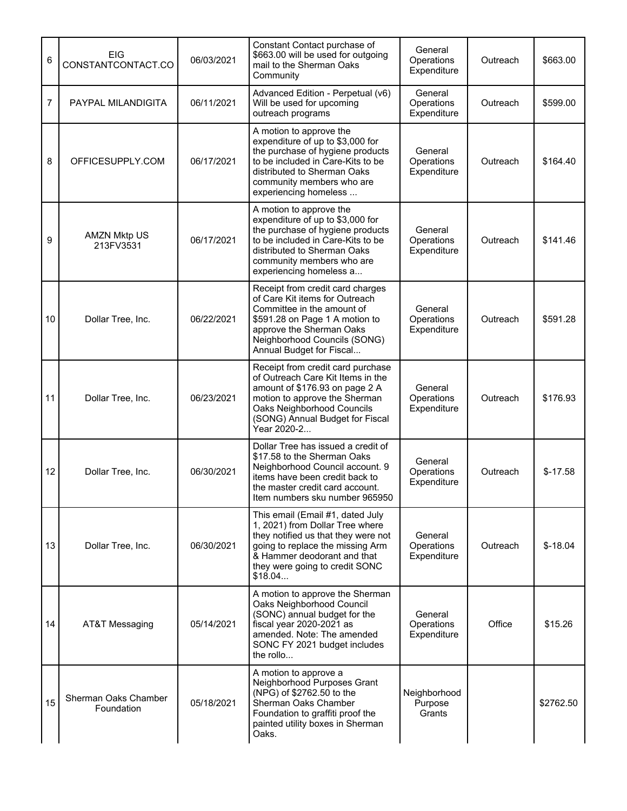| 6              | <b>EIG</b><br>CONSTANTCONTACT.CO   | 06/03/2021 | Constant Contact purchase of<br>\$663.00 will be used for outgoing<br>mail to the Sherman Oaks<br>Community                                                                                                                 | General<br>Operations<br>Expenditure | Outreach | \$663.00  |
|----------------|------------------------------------|------------|-----------------------------------------------------------------------------------------------------------------------------------------------------------------------------------------------------------------------------|--------------------------------------|----------|-----------|
| $\overline{7}$ | PAYPAL MILANDIGITA                 | 06/11/2021 | Advanced Edition - Perpetual (v6)<br>Will be used for upcoming<br>outreach programs                                                                                                                                         | General<br>Operations<br>Expenditure | Outreach | \$599.00  |
| 8              | OFFICESUPPLY.COM                   | 06/17/2021 | A motion to approve the<br>expenditure of up to \$3,000 for<br>the purchase of hygiene products<br>to be included in Care-Kits to be<br>distributed to Sherman Oaks<br>community members who are<br>experiencing homeless   | General<br>Operations<br>Expenditure | Outreach | \$164.40  |
| 9              | <b>AMZN Mktp US</b><br>213FV3531   | 06/17/2021 | A motion to approve the<br>expenditure of up to \$3,000 for<br>the purchase of hygiene products<br>to be included in Care-Kits to be<br>distributed to Sherman Oaks<br>community members who are<br>experiencing homeless a | General<br>Operations<br>Expenditure | Outreach | \$141.46  |
| 10             | Dollar Tree, Inc.                  | 06/22/2021 | Receipt from credit card charges<br>of Care Kit items for Outreach<br>Committee in the amount of<br>\$591.28 on Page 1 A motion to<br>approve the Sherman Oaks<br>Neighborhood Councils (SONG)<br>Annual Budget for Fiscal  | General<br>Operations<br>Expenditure | Outreach | \$591.28  |
| 11             | Dollar Tree, Inc.                  | 06/23/2021 | Receipt from credit card purchase<br>of Outreach Care Kit Items in the<br>amount of \$176.93 on page 2 A<br>motion to approve the Sherman<br>Oaks Neighborhood Councils<br>(SONG) Annual Budget for Fiscal<br>Year 2020-2   | General<br>Operations<br>Expenditure | Outreach | \$176.93  |
| 12             | Dollar Tree, Inc.                  | 06/30/2021 | Dollar Tree has issued a credit of<br>\$17.58 to the Sherman Oaks<br>Neighborhood Council account. 9<br>items have been credit back to<br>the master credit card account.<br>Item numbers sku number 965950                 | General<br>Operations<br>Expenditure | Outreach | $$-17.58$ |
| 13             | Dollar Tree, Inc.                  | 06/30/2021 | This email (Email #1, dated July<br>1, 2021) from Dollar Tree where<br>they notified us that they were not<br>going to replace the missing Arm<br>& Hammer deodorant and that<br>they were going to credit SONC<br>\$18.04  | General<br>Operations<br>Expenditure | Outreach | $$-18.04$ |
| 14             | AT&T Messaging                     | 05/14/2021 | A motion to approve the Sherman<br>Oaks Neighborhood Council<br>(SONC) annual budget for the<br>fiscal year 2020-2021 as<br>amended. Note: The amended<br>SONC FY 2021 budget includes<br>the rollo                         | General<br>Operations<br>Expenditure | Office   | \$15.26   |
| 15             | Sherman Oaks Chamber<br>Foundation | 05/18/2021 | A motion to approve a<br>Neighborhood Purposes Grant<br>(NPG) of \$2762.50 to the<br>Sherman Oaks Chamber<br>Foundation to graffiti proof the<br>painted utility boxes in Sherman<br>Oaks.                                  | Neighborhood<br>Purpose<br>Grants    |          | \$2762.50 |